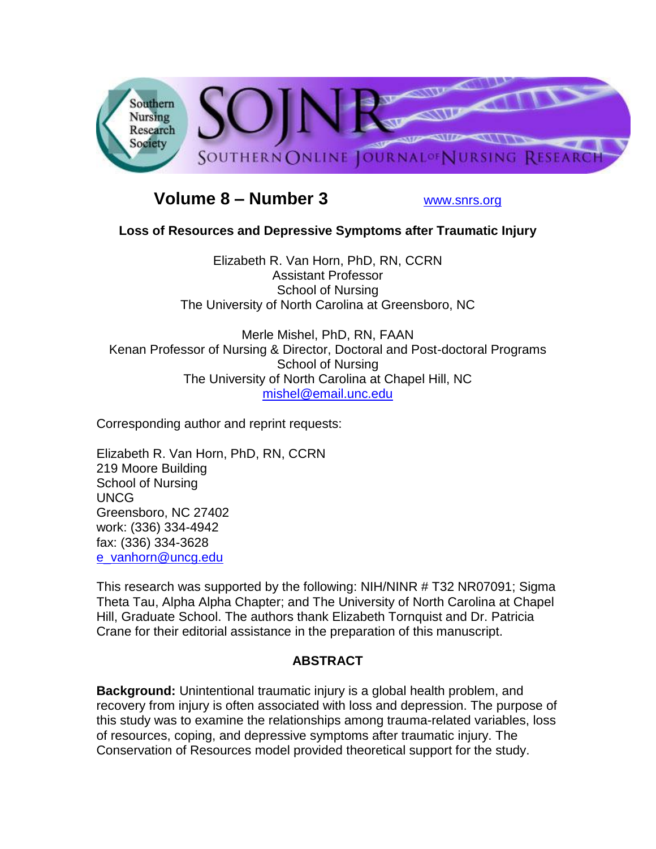

# **Volume 8 – Number 3** [www.snrs.org](http://www.snrs.org/)

## **Loss of Resources and Depressive Symptoms after Traumatic Injury**

Elizabeth R. Van Horn, PhD, RN, CCRN Assistant Professor School of Nursing The University of North Carolina at Greensboro, NC

Merle Mishel, PhD, RN, FAAN Kenan Professor of Nursing & Director, Doctoral and Post-doctoral Programs School of Nursing The University of North Carolina at Chapel Hill, NC [mishel@email.unc.edu](mailto:mishel@email.unc.edu)

Corresponding author and reprint requests:

Elizabeth R. Van Horn, PhD, RN, CCRN 219 Moore Building School of Nursing UNCG Greensboro, NC 27402 work: (336) 334-4942 fax: (336) 334-3628 [e\\_vanhorn@uncg.edu](mailto:e_vanhorn@uncg.edu)

This research was supported by the following: NIH/NINR # T32 NR07091; Sigma Theta Tau, Alpha Alpha Chapter; and The University of North Carolina at Chapel Hill, Graduate School. The authors thank Elizabeth Tornquist and Dr. Patricia Crane for their editorial assistance in the preparation of this manuscript.

## **ABSTRACT**

**Background:** Unintentional traumatic injury is a global health problem, and recovery from injury is often associated with loss and depression. The purpose of this study was to examine the relationships among trauma-related variables, loss of resources, coping, and depressive symptoms after traumatic injury. The Conservation of Resources model provided theoretical support for the study.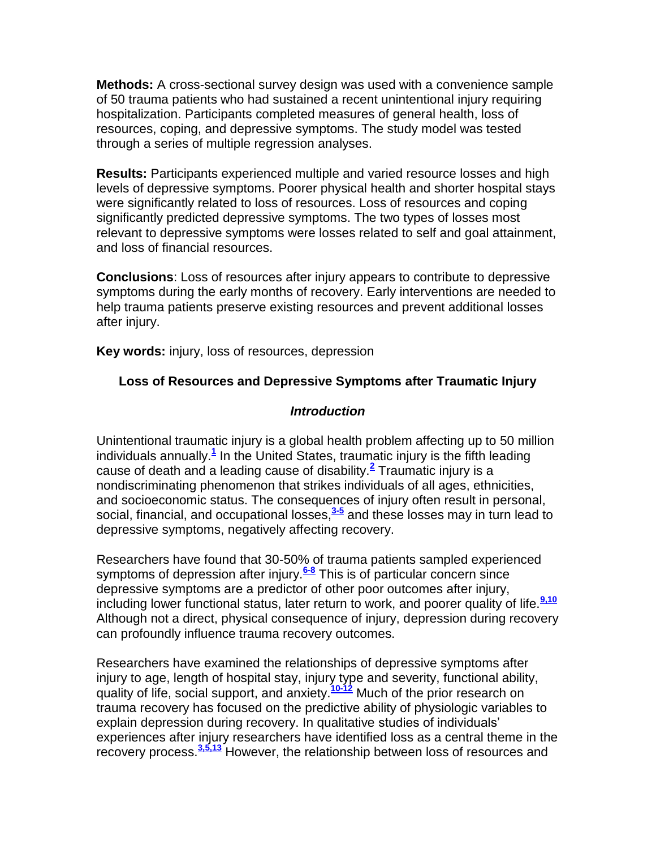**Methods:** A cross-sectional survey design was used with a convenience sample of 50 trauma patients who had sustained a recent unintentional injury requiring hospitalization. Participants completed measures of general health, loss of resources, coping, and depressive symptoms. The study model was tested through a series of multiple regression analyses.

**Results:** Participants experienced multiple and varied resource losses and high levels of depressive symptoms. Poorer physical health and shorter hospital stays were significantly related to loss of resources. Loss of resources and coping significantly predicted depressive symptoms. The two types of losses most relevant to depressive symptoms were losses related to self and goal attainment, and loss of financial resources.

**Conclusions**: Loss of resources after injury appears to contribute to depressive symptoms during the early months of recovery. Early interventions are needed to help trauma patients preserve existing resources and prevent additional losses after injury.

**Key words:** injury, loss of resources, depression

## **Loss of Resources and Depressive Symptoms after Traumatic Injury**

## *Introduction*

Unintentional traumatic injury is a global health problem affecting up to 50 million individuals annually.**[1](http://snrs.org/publications/SOJNR_articles2/n)** In the United States, traumatic injury is the fifth leading cause of death and a leading cause of disability.**[2](http://snrs.org/publications/SOJNR_articles2/n)** Traumatic injury is a nondiscriminating phenomenon that strikes individuals of all ages, ethnicities, and socioeconomic status. The consequences of injury often result in personal, social, financial, and occupational losses,**[3-5](http://snrs.org/publications/SOJNR_articles2/n)** and these losses may in turn lead to depressive symptoms, negatively affecting recovery.

Researchers have found that 30-50% of trauma patients sampled experienced symptoms of depression after injury.**[6-8](http://snrs.org/publications/SOJNR_articles2/n)** This is of particular concern since depressive symptoms are a predictor of other poor outcomes after injury, including lower functional status, later return to work, and poorer quality of life.**[9,10](http://snrs.org/publications/SOJNR_articles2/n)** Although not a direct, physical consequence of injury, depression during recovery can profoundly influence trauma recovery outcomes.

Researchers have examined the relationships of depressive symptoms after injury to age, length of hospital stay, injury type and severity, functional ability, quality of life, social support, and anxiety.**[10-12](http://snrs.org/publications/SOJNR_articles2/n)** Much of the prior research on trauma recovery has focused on the predictive ability of physiologic variables to explain depression during recovery. In qualitative studies of individuals' experiences after injury researchers have identified loss as a central theme in the recovery process.**[3,5,13](http://snrs.org/publications/SOJNR_articles2/n)** However, the relationship between loss of resources and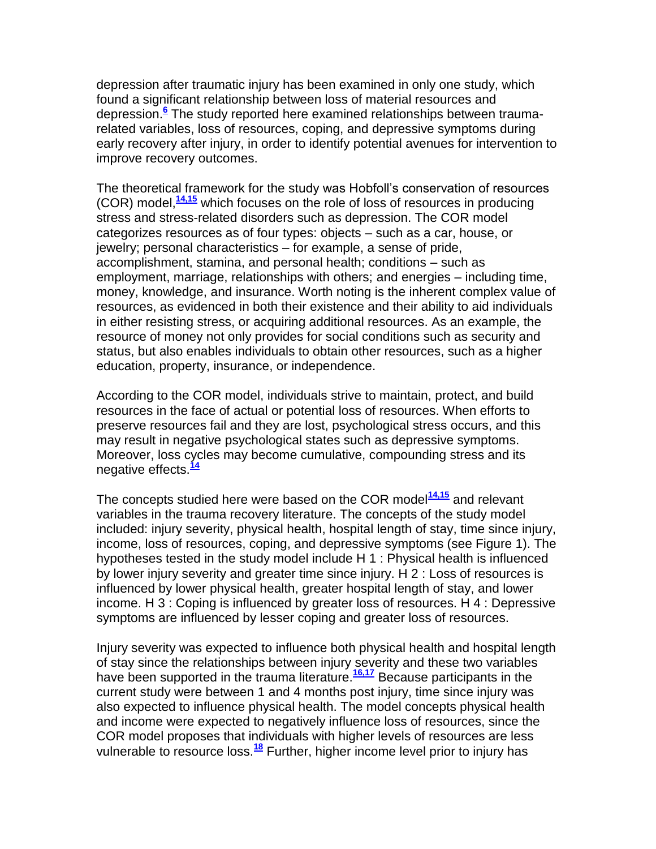depression after traumatic injury has been examined in only one study, which found a significant relationship between loss of material resources and depression.**[6](http://snrs.org/publications/SOJNR_articles2/n)** The study reported here examined relationships between traumarelated variables, loss of resources, coping, and depressive symptoms during early recovery after injury, in order to identify potential avenues for intervention to improve recovery outcomes.

The theoretical framework for the study was Hobfoll's conservation of resources (COR) model,**[14,15](http://snrs.org/publications/SOJNR_articles2/n)** which focuses on the role of loss of resources in producing stress and stress-related disorders such as depression. The COR model categorizes resources as of four types: objects – such as a car, house, or jewelry; personal characteristics – for example, a sense of pride, accomplishment, stamina, and personal health; conditions – such as employment, marriage, relationships with others; and energies – including time, money, knowledge, and insurance. Worth noting is the inherent complex value of resources, as evidenced in both their existence and their ability to aid individuals in either resisting stress, or acquiring additional resources. As an example, the resource of money not only provides for social conditions such as security and status, but also enables individuals to obtain other resources, such as a higher education, property, insurance, or independence.

According to the COR model, individuals strive to maintain, protect, and build resources in the face of actual or potential loss of resources. When efforts to preserve resources fail and they are lost, psychological stress occurs, and this may result in negative psychological states such as depressive symptoms. Moreover, loss cycles may become cumulative, compounding stress and its negative effects.**[14](http://snrs.org/publications/SOJNR_articles2/n)**

The concepts studied here were based on the COR model**[14,15](http://snrs.org/publications/SOJNR_articles2/n)** and relevant variables in the trauma recovery literature. The concepts of the study model included: injury severity, physical health, hospital length of stay, time since injury, income, loss of resources, coping, and depressive symptoms (see Figure 1). The hypotheses tested in the study model include H 1 : Physical health is influenced by lower injury severity and greater time since injury. H 2 : Loss of resources is influenced by lower physical health, greater hospital length of stay, and lower income. H 3 : Coping is influenced by greater loss of resources. H 4 : Depressive symptoms are influenced by lesser coping and greater loss of resources.

Injury severity was expected to influence both physical health and hospital length of stay since the relationships between injury severity and these two variables have been supported in the trauma literature.**[16,17](http://snrs.org/publications/SOJNR_articles2/n)** Because participants in the current study were between 1 and 4 months post injury, time since injury was also expected to influence physical health. The model concepts physical health and income were expected to negatively influence loss of resources, since the COR model proposes that individuals with higher levels of resources are less vulnerable to resource loss.**[18](http://snrs.org/publications/SOJNR_articles2/n)** Further, higher income level prior to injury has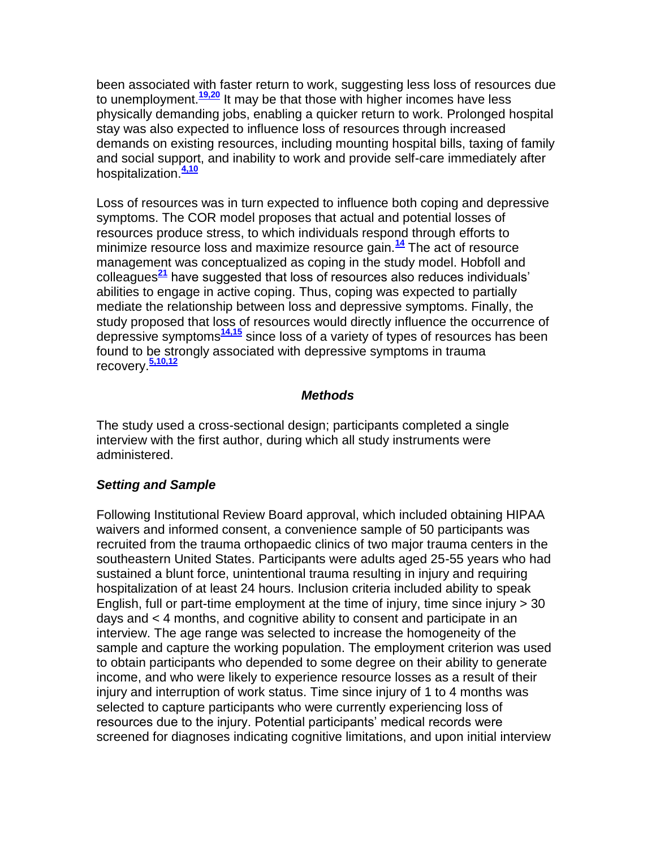been associated with faster return to work, suggesting less loss of resources due to unemployment.**[19,20](http://snrs.org/publications/SOJNR_articles2/n)** It may be that those with higher incomes have less physically demanding jobs, enabling a quicker return to work. Prolonged hospital stay was also expected to influence loss of resources through increased demands on existing resources, including mounting hospital bills, taxing of family and social support, and inability to work and provide self-care immediately after hospitalization.**[4,10](http://snrs.org/publications/SOJNR_articles2/n)**

Loss of resources was in turn expected to influence both coping and depressive symptoms. The COR model proposes that actual and potential losses of resources produce stress, to which individuals respond through efforts to minimize resource loss and maximize resource gain.**[14](http://snrs.org/publications/SOJNR_articles2/n)** The act of resource management was conceptualized as coping in the study model. Hobfoll and colleagues**[21](http://snrs.org/publications/SOJNR_articles2/n)** have suggested that loss of resources also reduces individuals' abilities to engage in active coping. Thus, coping was expected to partially mediate the relationship between loss and depressive symptoms. Finally, the study proposed that loss of resources would directly influence the occurrence of depressive symptoms**[14,15](http://snrs.org/publications/SOJNR_articles2/n)** since loss of a variety of types of resources has been found to be strongly associated with depressive symptoms in trauma recovery.**[5,10,12](http://snrs.org/publications/SOJNR_articles2/n)**

#### *Methods*

The study used a cross-sectional design; participants completed a single interview with the first author, during which all study instruments were administered.

### *Setting and Sample*

Following Institutional Review Board approval, which included obtaining HIPAA waivers and informed consent, a convenience sample of 50 participants was recruited from the trauma orthopaedic clinics of two major trauma centers in the southeastern United States. Participants were adults aged 25-55 years who had sustained a blunt force, unintentional trauma resulting in injury and requiring hospitalization of at least 24 hours. Inclusion criteria included ability to speak English, full or part-time employment at the time of injury, time since injury  $>$  30 days and < 4 months, and cognitive ability to consent and participate in an interview. The age range was selected to increase the homogeneity of the sample and capture the working population. The employment criterion was used to obtain participants who depended to some degree on their ability to generate income, and who were likely to experience resource losses as a result of their injury and interruption of work status. Time since injury of 1 to 4 months was selected to capture participants who were currently experiencing loss of resources due to the injury. Potential participants' medical records were screened for diagnoses indicating cognitive limitations, and upon initial interview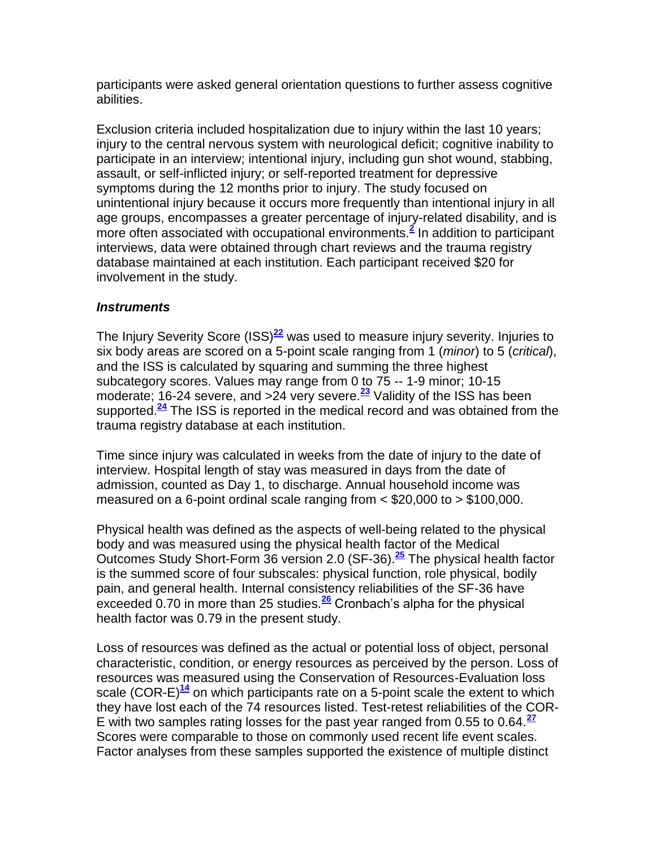participants were asked general orientation questions to further assess cognitive abilities.

Exclusion criteria included hospitalization due to injury within the last 10 years; injury to the central nervous system with neurological deficit; cognitive inability to participate in an interview; intentional injury, including gun shot wound, stabbing, assault, or self-inflicted injury; or self-reported treatment for depressive symptoms during the 12 months prior to injury. The study focused on unintentional injury because it occurs more frequently than intentional injury in all age groups, encompasses a greater percentage of injury-related disability, and is more often associated with occupational environments.**[2](http://snrs.org/publications/SOJNR_articles2/n)** In addition to participant interviews, data were obtained through chart reviews and the trauma registry database maintained at each institution. Each participant received \$20 for involvement in the study.

### *Instruments*

The Injury Severity Score (ISS)**[22](http://snrs.org/publications/SOJNR_articles2/n)** was used to measure injury severity. Injuries to six body areas are scored on a 5-point scale ranging from 1 (*minor*) to 5 (*critical*), and the ISS is calculated by squaring and summing the three highest subcategory scores. Values may range from 0 to 75 -- 1-9 minor; 10-15 moderate; 16-24 severe, and >24 very severe.**[23](http://snrs.org/publications/SOJNR_articles2/n)** Validity of the ISS has been supported.**[24](http://snrs.org/publications/SOJNR_articles2/n)** The ISS is reported in the medical record and was obtained from the trauma registry database at each institution.

Time since injury was calculated in weeks from the date of injury to the date of interview. Hospital length of stay was measured in days from the date of admission, counted as Day 1, to discharge. Annual household income was measured on a 6-point ordinal scale ranging from < \$20,000 to > \$100,000.

Physical health was defined as the aspects of well-being related to the physical body and was measured using the physical health factor of the Medical Outcomes Study Short-Form 36 version 2.0 (SF-36).**[25](http://snrs.org/publications/SOJNR_articles2/n)** The physical health factor is the summed score of four subscales: physical function, role physical, bodily pain, and general health. Internal consistency reliabilities of the SF-36 have exceeded 0.70 in more than 25 studies.**[26](http://snrs.org/publications/SOJNR_articles2/n)** Cronbach's alpha for the physical health factor was 0.79 in the present study.

Loss of resources was defined as the actual or potential loss of object, personal characteristic, condition, or energy resources as perceived by the person. Loss of resources was measured using the Conservation of Resources-Evaluation loss scale (COR-E)**[14](http://snrs.org/publications/SOJNR_articles2/n)** on which participants rate on a 5-point scale the extent to which they have lost each of the 74 resources listed. Test-retest reliabilities of the COR-E with two samples rating losses for the past year ranged from 0.55 to 0.64.**[27](http://snrs.org/publications/SOJNR_articles2/n)** Scores were comparable to those on commonly used recent life event scales. Factor analyses from these samples supported the existence of multiple distinct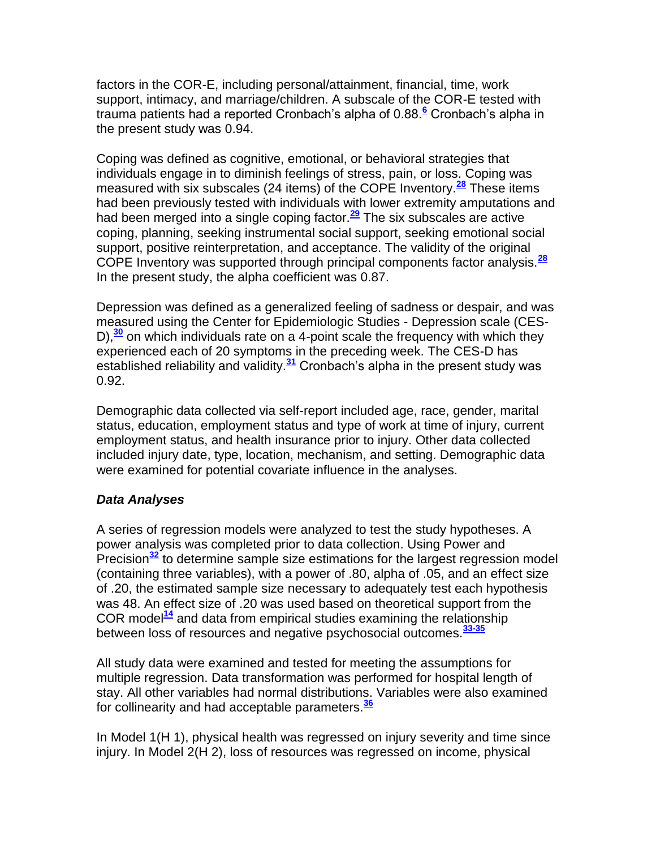factors in the COR-E, including personal/attainment, financial, time, work support, intimacy, and marriage/children. A subscale of the COR-E tested with trauma patients had a reported Cronbach's alpha of 0.88.<sup>[6](http://snrs.org/publications/SOJNR_articles2/n)</sup> Cronbach's alpha in the present study was 0.94.

Coping was defined as cognitive, emotional, or behavioral strategies that individuals engage in to diminish feelings of stress, pain, or loss. Coping was measured with six subscales (24 items) of the COPE Inventory.**[28](http://snrs.org/publications/SOJNR_articles2/n)** These items had been previously tested with individuals with lower extremity amputations and had been merged into a single coping factor.**[29](http://snrs.org/publications/SOJNR_articles2/n)** The six subscales are active coping, planning, seeking instrumental social support, seeking emotional social support, positive reinterpretation, and acceptance. The validity of the original COPE Inventory was supported through principal components factor analysis.**[28](http://snrs.org/publications/SOJNR_articles2/n)** In the present study, the alpha coefficient was 0.87.

Depression was defined as a generalized feeling of sadness or despair, and was measured using the Center for Epidemiologic Studies - Depression scale (CES-D),**[30](http://snrs.org/publications/SOJNR_articles2/n)** on which individuals rate on a 4-point scale the frequency with which they experienced each of 20 symptoms in the preceding week. The CES-D has established reliability and validity.**[31](http://snrs.org/publications/SOJNR_articles2/n)** Cronbach's alpha in the present study was 0.92.

Demographic data collected via self-report included age, race, gender, marital status, education, employment status and type of work at time of injury, current employment status, and health insurance prior to injury. Other data collected included injury date, type, location, mechanism, and setting. Demographic data were examined for potential covariate influence in the analyses.

## *Data Analyses*

A series of regression models were analyzed to test the study hypotheses. A power analysis was completed prior to data collection. Using Power and Precision**[32](http://snrs.org/publications/SOJNR_articles2/n)** to determine sample size estimations for the largest regression model (containing three variables), with a power of .80, alpha of .05, and an effect size of .20, the estimated sample size necessary to adequately test each hypothesis was 48. An effect size of .20 was used based on theoretical support from the COR model**[14](http://snrs.org/publications/SOJNR_articles2/n)** and data from empirical studies examining the relationship between loss of resources and negative psychosocial outcomes.**[33-35](http://snrs.org/publications/SOJNR_articles2/n)**

All study data were examined and tested for meeting the assumptions for multiple regression. Data transformation was performed for hospital length of stay. All other variables had normal distributions. Variables were also examined for collinearity and had acceptable parameters.**[36](http://snrs.org/publications/SOJNR_articles2/n)**

In Model 1(H 1), physical health was regressed on injury severity and time since injury. In Model 2(H 2), loss of resources was regressed on income, physical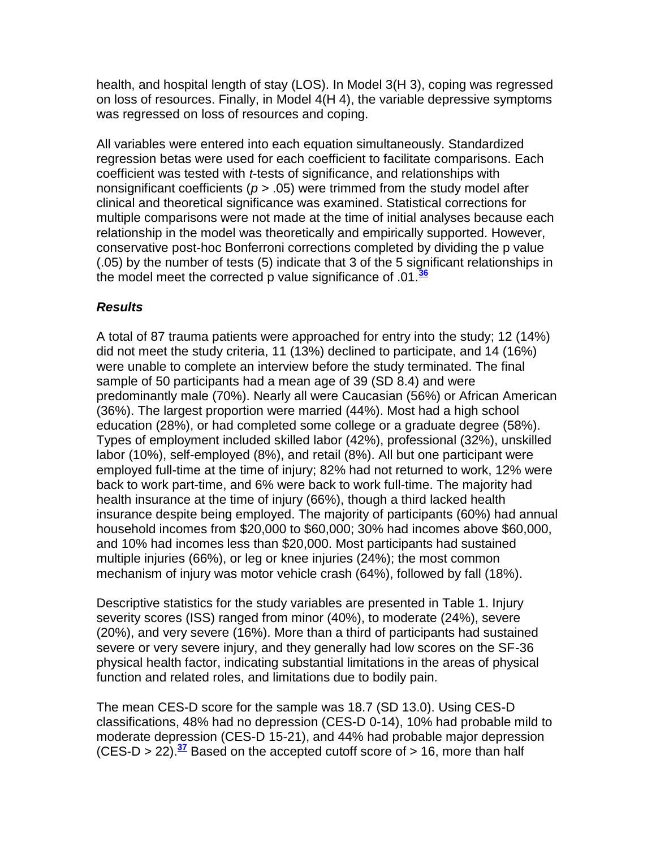health, and hospital length of stay (LOS). In Model 3(H 3), coping was regressed on loss of resources. Finally, in Model 4(H 4), the variable depressive symptoms was regressed on loss of resources and coping.

All variables were entered into each equation simultaneously. Standardized regression betas were used for each coefficient to facilitate comparisons. Each coefficient was tested with *t*-tests of significance, and relationships with nonsignificant coefficients (*p* > .05) were trimmed from the study model after clinical and theoretical significance was examined. Statistical corrections for multiple comparisons were not made at the time of initial analyses because each relationship in the model was theoretically and empirically supported. However, conservative post-hoc Bonferroni corrections completed by dividing the p value (.05) by the number of tests (5) indicate that 3 of the 5 significant relationships in the model meet the corrected p value significance of .01.**[36](http://snrs.org/publications/SOJNR_articles2/n)**

## *Results*

A total of 87 trauma patients were approached for entry into the study; 12 (14%) did not meet the study criteria, 11 (13%) declined to participate, and 14 (16%) were unable to complete an interview before the study terminated. The final sample of 50 participants had a mean age of 39 (SD 8.4) and were predominantly male (70%). Nearly all were Caucasian (56%) or African American (36%). The largest proportion were married (44%). Most had a high school education (28%), or had completed some college or a graduate degree (58%). Types of employment included skilled labor (42%), professional (32%), unskilled labor (10%), self-employed (8%), and retail (8%). All but one participant were employed full-time at the time of injury; 82% had not returned to work, 12% were back to work part-time, and 6% were back to work full-time. The majority had health insurance at the time of injury (66%), though a third lacked health insurance despite being employed. The majority of participants (60%) had annual household incomes from \$20,000 to \$60,000; 30% had incomes above \$60,000, and 10% had incomes less than \$20,000. Most participants had sustained multiple injuries (66%), or leg or knee injuries (24%); the most common mechanism of injury was motor vehicle crash (64%), followed by fall (18%).

Descriptive statistics for the study variables are presented in Table 1. Injury severity scores (ISS) ranged from minor (40%), to moderate (24%), severe (20%), and very severe (16%). More than a third of participants had sustained severe or very severe injury, and they generally had low scores on the SF-36 physical health factor, indicating substantial limitations in the areas of physical function and related roles, and limitations due to bodily pain.

The mean CES-D score for the sample was 18.7 (SD 13.0). Using CES-D classifications, 48% had no depression (CES-D 0-14), 10% had probable mild to moderate depression (CES-D 15-21), and 44% had probable major depression  $(CES-D > 22)$ .<sup>[37](http://snrs.org/publications/SOJNR_articles2/n)</sup> Based on the accepted cutoff score of  $> 16$ , more than half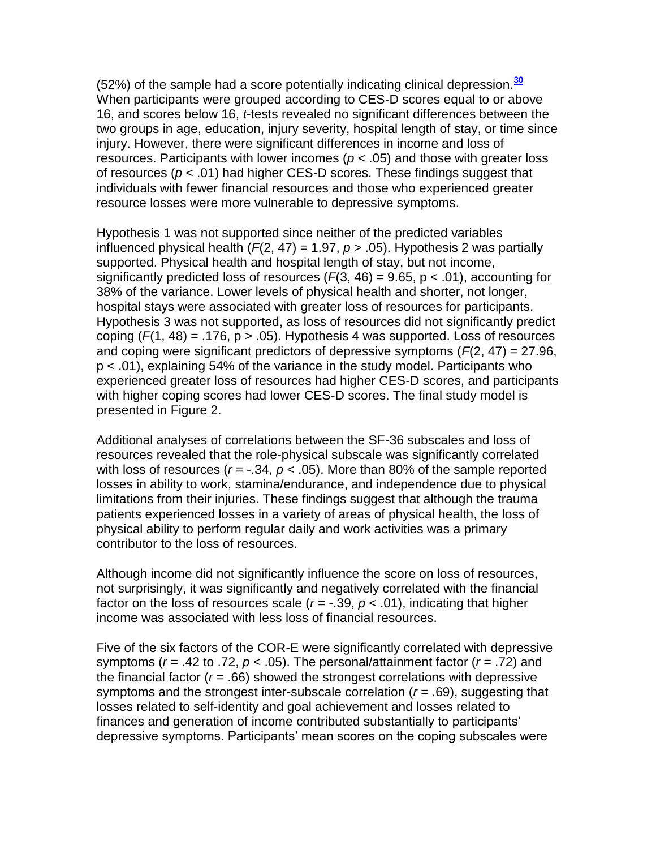(52%) of the sample had a score potentially indicating clinical depression.**[30](http://snrs.org/publications/SOJNR_articles2/n)** When participants were grouped according to CES-D scores equal to or above 16, and scores below 16, *t*-tests revealed no significant differences between the two groups in age, education, injury severity, hospital length of stay, or time since injury. However, there were significant differences in income and loss of resources. Participants with lower incomes (*p* < .05) and those with greater loss of resources (*p* < .01) had higher CES-D scores. These findings suggest that individuals with fewer financial resources and those who experienced greater resource losses were more vulnerable to depressive symptoms.

Hypothesis 1 was not supported since neither of the predicted variables influenced physical health (*F*(2, 47) = 1.97, *p* > .05). Hypothesis 2 was partially supported. Physical health and hospital length of stay, but not income, significantly predicted loss of resources  $(F(3, 46) = 9.65, p < .01)$ , accounting for 38% of the variance. Lower levels of physical health and shorter, not longer, hospital stays were associated with greater loss of resources for participants. Hypothesis 3 was not supported, as loss of resources did not significantly predict coping  $(F(1, 48) = .176, p > .05)$ . Hypothesis 4 was supported. Loss of resources and coping were significant predictors of depressive symptoms (*F*(2, 47) = 27.96, p < .01), explaining 54% of the variance in the study model. Participants who experienced greater loss of resources had higher CES-D scores, and participants with higher coping scores had lower CES-D scores. The final study model is presented in Figure 2.

Additional analyses of correlations between the SF-36 subscales and loss of resources revealed that the role-physical subscale was significantly correlated with loss of resources ( $r = -.34$ ,  $p < .05$ ). More than 80% of the sample reported losses in ability to work, stamina/endurance, and independence due to physical limitations from their injuries. These findings suggest that although the trauma patients experienced losses in a variety of areas of physical health, the loss of physical ability to perform regular daily and work activities was a primary contributor to the loss of resources.

Although income did not significantly influence the score on loss of resources, not surprisingly, it was significantly and negatively correlated with the financial factor on the loss of resources scale  $(r = -.39, p < .01)$ , indicating that higher income was associated with less loss of financial resources.

Five of the six factors of the COR-E were significantly correlated with depressive symptoms (*r* = .42 to .72, *p* < .05). The personal/attainment factor (*r* = .72) and the financial factor (*r* = .66) showed the strongest correlations with depressive symptoms and the strongest inter-subscale correlation (*r* = .69), suggesting that losses related to self-identity and goal achievement and losses related to finances and generation of income contributed substantially to participants' depressive symptoms. Participants' mean scores on the coping subscales were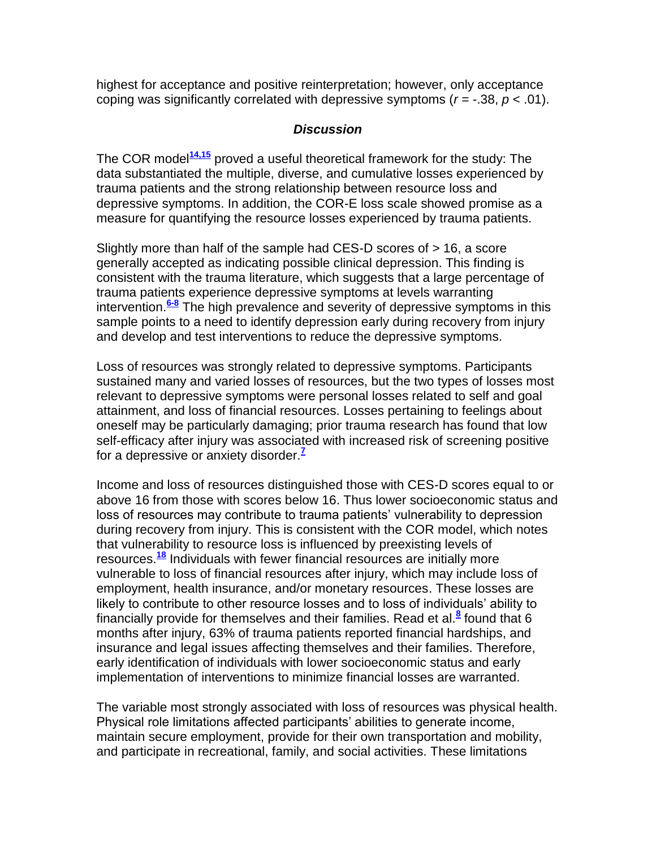highest for acceptance and positive reinterpretation; however, only acceptance coping was significantly correlated with depressive symptoms (*r* = -.38, *p* < .01).

#### *Discussion*

The COR model**[14,15](http://snrs.org/publications/SOJNR_articles2/n)** proved a useful theoretical framework for the study: The data substantiated the multiple, diverse, and cumulative losses experienced by trauma patients and the strong relationship between resource loss and depressive symptoms. In addition, the COR-E loss scale showed promise as a measure for quantifying the resource losses experienced by trauma patients.

Slightly more than half of the sample had CES-D scores of > 16, a score generally accepted as indicating possible clinical depression. This finding is consistent with the trauma literature, which suggests that a large percentage of trauma patients experience depressive symptoms at levels warranting intervention.**[6-8](http://snrs.org/publications/SOJNR_articles2/n)** The high prevalence and severity of depressive symptoms in this sample points to a need to identify depression early during recovery from injury and develop and test interventions to reduce the depressive symptoms.

Loss of resources was strongly related to depressive symptoms. Participants sustained many and varied losses of resources, but the two types of losses most relevant to depressive symptoms were personal losses related to self and goal attainment, and loss of financial resources. Losses pertaining to feelings about oneself may be particularly damaging; prior trauma research has found that low self-efficacy after injury was associated with increased risk of screening positive for a depressive or anxiety disorder.**[7](http://snrs.org/publications/SOJNR_articles2/n)**

Income and loss of resources distinguished those with CES-D scores equal to or above 16 from those with scores below 16. Thus lower socioeconomic status and loss of resources may contribute to trauma patients' vulnerability to depression during recovery from injury. This is consistent with the COR model, which notes that vulnerability to resource loss is influenced by preexisting levels of resources.**[18](http://snrs.org/publications/SOJNR_articles2/n)** Individuals with fewer financial resources are initially more vulnerable to loss of financial resources after injury, which may include loss of employment, health insurance, and/or monetary resources. These losses are likely to contribute to other resource losses and to loss of individuals' ability to financially provide for themselves and their families. Read et al.<sup>[8](http://snrs.org/publications/SOJNR_articles2/n)</sup> found that 6 months after injury, 63% of trauma patients reported financial hardships, and insurance and legal issues affecting themselves and their families. Therefore, early identification of individuals with lower socioeconomic status and early implementation of interventions to minimize financial losses are warranted.

The variable most strongly associated with loss of resources was physical health. Physical role limitations affected participants' abilities to generate income, maintain secure employment, provide for their own transportation and mobility, and participate in recreational, family, and social activities. These limitations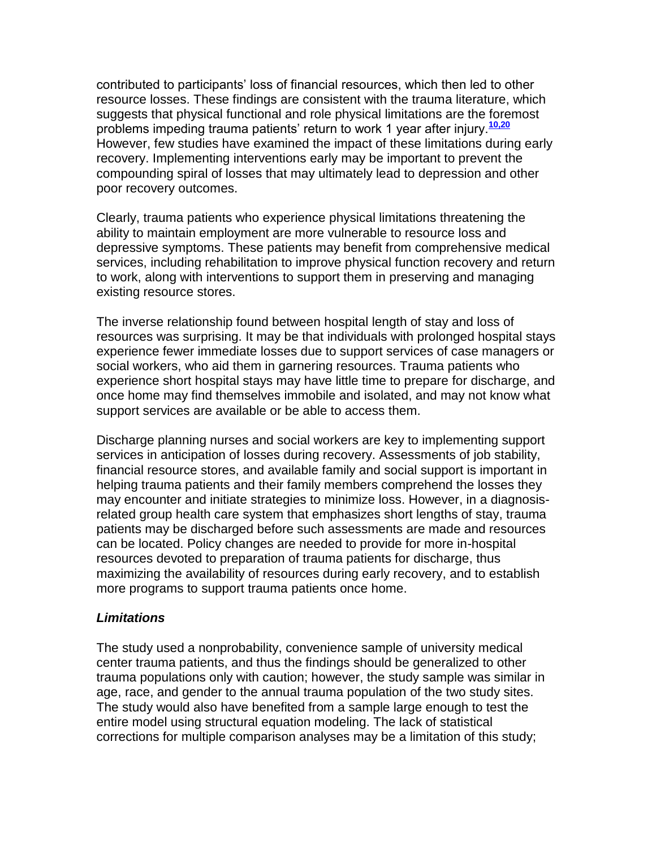contributed to participants' loss of financial resources, which then led to other resource losses. These findings are consistent with the trauma literature, which suggests that physical functional and role physical limitations are the foremost problems impeding trauma patients' return to work 1 year after injury.**[10,20](http://snrs.org/publications/SOJNR_articles2/n)** However, few studies have examined the impact of these limitations during early recovery. Implementing interventions early may be important to prevent the compounding spiral of losses that may ultimately lead to depression and other poor recovery outcomes.

Clearly, trauma patients who experience physical limitations threatening the ability to maintain employment are more vulnerable to resource loss and depressive symptoms. These patients may benefit from comprehensive medical services, including rehabilitation to improve physical function recovery and return to work, along with interventions to support them in preserving and managing existing resource stores.

The inverse relationship found between hospital length of stay and loss of resources was surprising. It may be that individuals with prolonged hospital stays experience fewer immediate losses due to support services of case managers or social workers, who aid them in garnering resources. Trauma patients who experience short hospital stays may have little time to prepare for discharge, and once home may find themselves immobile and isolated, and may not know what support services are available or be able to access them.

Discharge planning nurses and social workers are key to implementing support services in anticipation of losses during recovery. Assessments of job stability, financial resource stores, and available family and social support is important in helping trauma patients and their family members comprehend the losses they may encounter and initiate strategies to minimize loss. However, in a diagnosisrelated group health care system that emphasizes short lengths of stay, trauma patients may be discharged before such assessments are made and resources can be located. Policy changes are needed to provide for more in-hospital resources devoted to preparation of trauma patients for discharge, thus maximizing the availability of resources during early recovery, and to establish more programs to support trauma patients once home.

### *Limitations*

The study used a nonprobability, convenience sample of university medical center trauma patients, and thus the findings should be generalized to other trauma populations only with caution; however, the study sample was similar in age, race, and gender to the annual trauma population of the two study sites. The study would also have benefited from a sample large enough to test the entire model using structural equation modeling. The lack of statistical corrections for multiple comparison analyses may be a limitation of this study;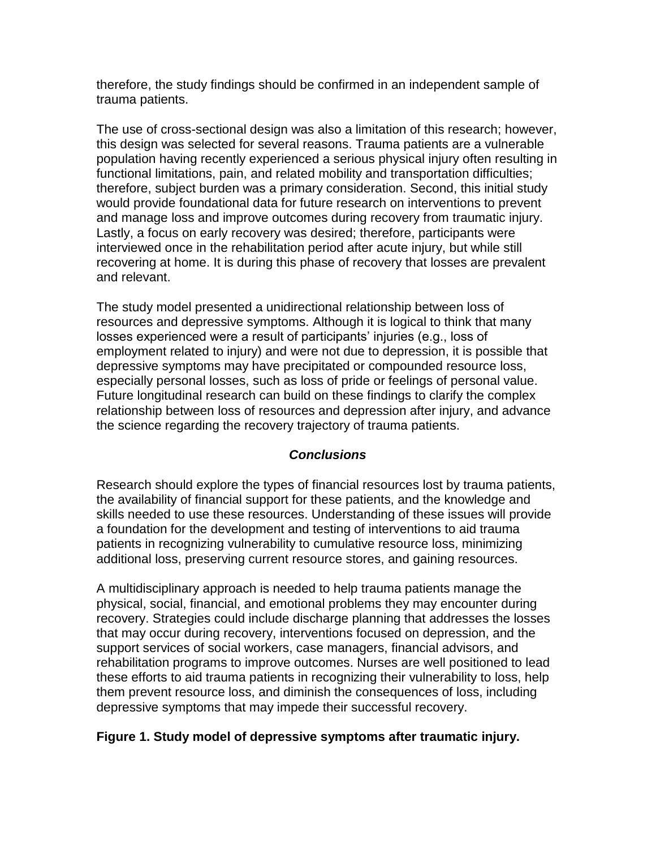therefore, the study findings should be confirmed in an independent sample of trauma patients.

The use of cross-sectional design was also a limitation of this research; however, this design was selected for several reasons. Trauma patients are a vulnerable population having recently experienced a serious physical injury often resulting in functional limitations, pain, and related mobility and transportation difficulties; therefore, subject burden was a primary consideration. Second, this initial study would provide foundational data for future research on interventions to prevent and manage loss and improve outcomes during recovery from traumatic injury. Lastly, a focus on early recovery was desired; therefore, participants were interviewed once in the rehabilitation period after acute injury, but while still recovering at home. It is during this phase of recovery that losses are prevalent and relevant.

The study model presented a unidirectional relationship between loss of resources and depressive symptoms. Although it is logical to think that many losses experienced were a result of participants' injuries (e.g., loss of employment related to injury) and were not due to depression, it is possible that depressive symptoms may have precipitated or compounded resource loss, especially personal losses, such as loss of pride or feelings of personal value. Future longitudinal research can build on these findings to clarify the complex relationship between loss of resources and depression after injury, and advance the science regarding the recovery trajectory of trauma patients.

### *Conclusions*

Research should explore the types of financial resources lost by trauma patients, the availability of financial support for these patients, and the knowledge and skills needed to use these resources. Understanding of these issues will provide a foundation for the development and testing of interventions to aid trauma patients in recognizing vulnerability to cumulative resource loss, minimizing additional loss, preserving current resource stores, and gaining resources.

A multidisciplinary approach is needed to help trauma patients manage the physical, social, financial, and emotional problems they may encounter during recovery. Strategies could include discharge planning that addresses the losses that may occur during recovery, interventions focused on depression, and the support services of social workers, case managers, financial advisors, and rehabilitation programs to improve outcomes. Nurses are well positioned to lead these efforts to aid trauma patients in recognizing their vulnerability to loss, help them prevent resource loss, and diminish the consequences of loss, including depressive symptoms that may impede their successful recovery.

### **Figure 1. Study model of depressive symptoms after traumatic injury.**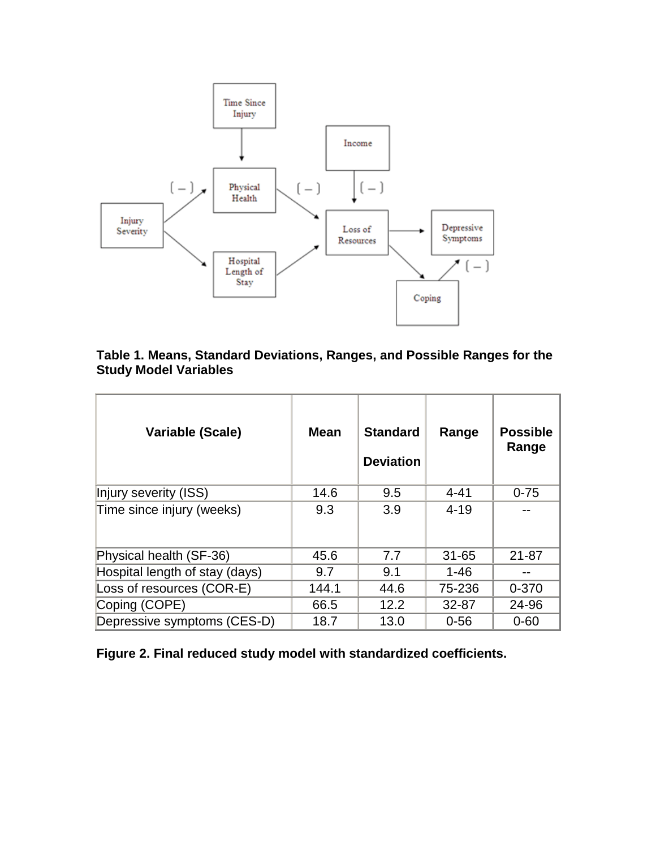

## **Table 1. Means, Standard Deviations, Ranges, and Possible Ranges for the Study Model Variables**

| Variable (Scale)               | <b>Mean</b> | <b>Standard</b><br><b>Deviation</b> | Range     | <b>Possible</b><br>Range |
|--------------------------------|-------------|-------------------------------------|-----------|--------------------------|
| Injury severity (ISS)          | 14.6        | 9.5                                 | $4 - 41$  | $0 - 75$                 |
| Time since injury (weeks)      | 9.3         | 3.9                                 | $4 - 19$  |                          |
| Physical health (SF-36)        | 45.6        | 7.7                                 | $31 - 65$ | $21 - 87$                |
| Hospital length of stay (days) | 9.7         | 9.1                                 | $1 - 46$  |                          |
| Loss of resources (COR-E)      | 144.1       | 44.6                                | 75-236    | $0 - 370$                |
| Coping (COPE)                  | 66.5        | 12.2                                | 32-87     | 24-96                    |
| Depressive symptoms (CES-D)    | 18.7        | 13.0                                | $0 - 56$  | $0 - 60$                 |

|  |  |  |  | Figure 2. Final reduced study model with standardized coefficients. |  |
|--|--|--|--|---------------------------------------------------------------------|--|
|  |  |  |  |                                                                     |  |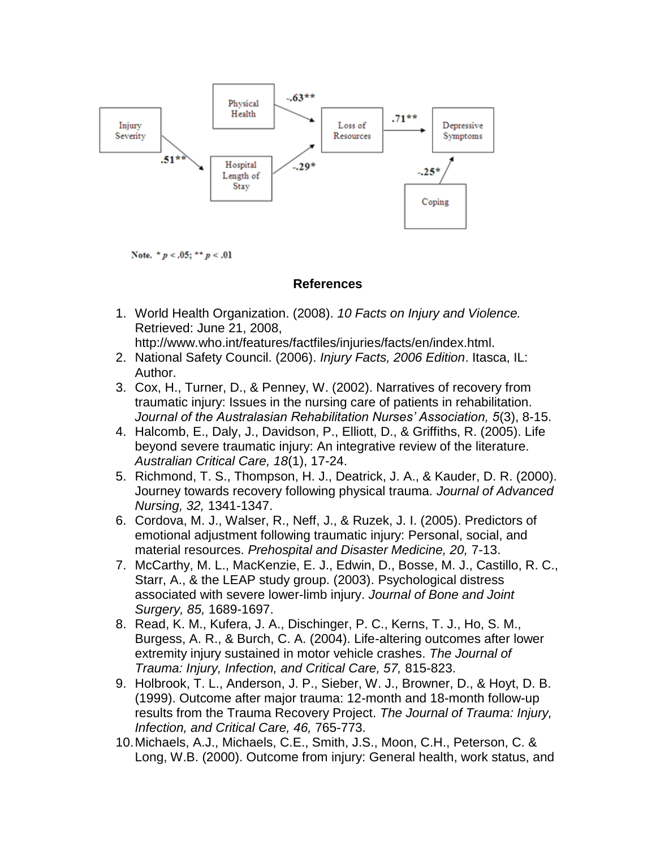

Note,  $* p < .05$ ;  $** p < .01$ 

#### **References**

1. World Health Organization. (2008). *10 Facts on Injury and Violence.*  Retrieved: June 21, 2008,

http://www.who.int/features/factfiles/injuries/facts/en/index.html.

- 2. National Safety Council. (2006). *Injury Facts, 2006 Edition*. Itasca, IL: Author.
- 3. Cox, H., Turner, D., & Penney, W. (2002). Narratives of recovery from traumatic injury: Issues in the nursing care of patients in rehabilitation. *Journal of the Australasian Rehabilitation Nurses' Association, 5*(3), 8-15.
- 4. Halcomb, E., Daly, J., Davidson, P., Elliott, D., & Griffiths, R. (2005). Life beyond severe traumatic injury: An integrative review of the literature. *Australian Critical Care, 18*(1), 17-24.
- 5. Richmond, T. S., Thompson, H. J., Deatrick, J. A., & Kauder, D. R. (2000). Journey towards recovery following physical trauma. *Journal of Advanced Nursing, 32,* 1341-1347.
- 6. Cordova, M. J., Walser, R., Neff, J., & Ruzek, J. I. (2005). Predictors of emotional adjustment following traumatic injury: Personal, social, and material resources. *Prehospital and Disaster Medicine, 20,* 7-13.
- 7. McCarthy, M. L., MacKenzie, E. J., Edwin, D., Bosse, M. J., Castillo, R. C., Starr, A., & the LEAP study group. (2003). Psychological distress associated with severe lower-limb injury. *Journal of Bone and Joint Surgery, 85,* 1689-1697.
- 8. Read, K. M., Kufera, J. A., Dischinger, P. C., Kerns, T. J., Ho, S. M., Burgess, A. R., & Burch, C. A. (2004). Life-altering outcomes after lower extremity injury sustained in motor vehicle crashes. *The Journal of Trauma: Injury, Infection, and Critical Care, 57,* 815-823.
- 9. Holbrook, T. L., Anderson, J. P., Sieber, W. J., Browner, D., & Hoyt, D. B. (1999). Outcome after major trauma: 12-month and 18-month follow-up results from the Trauma Recovery Project. *The Journal of Trauma: Injury, Infection, and Critical Care, 46,* 765-773.
- 10.Michaels, A.J., Michaels, C.E., Smith, J.S., Moon, C.H., Peterson, C. & Long, W.B. (2000). Outcome from injury: General health, work status, and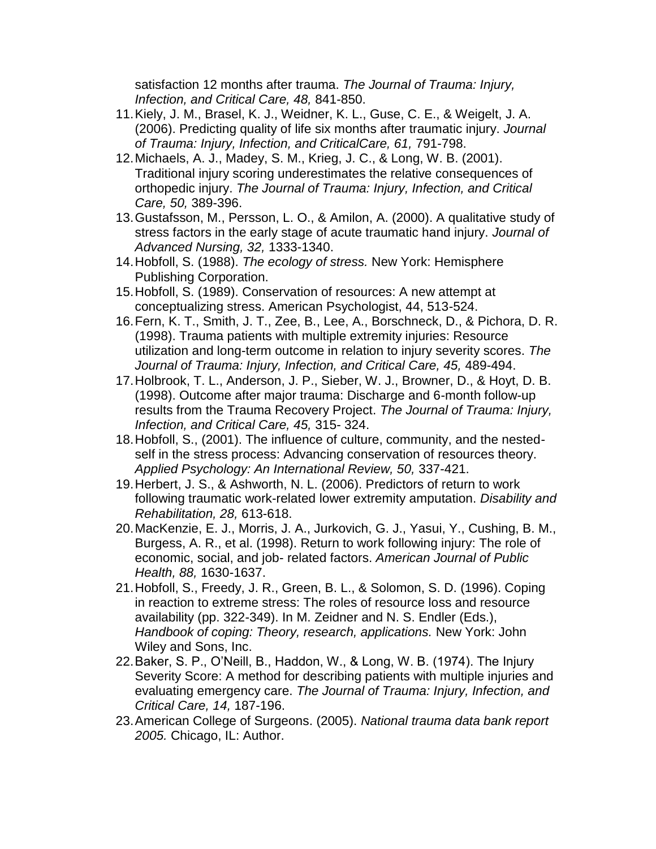satisfaction 12 months after trauma. *The Journal of Trauma: Injury, Infection, and Critical Care, 48,* 841-850.

- 11.Kiely, J. M., Brasel, K. J., Weidner, K. L., Guse, C. E., & Weigelt, J. A. (2006). Predicting quality of life six months after traumatic injury. *Journal of Trauma: Injury, Infection, and CriticalCare, 61,* 791-798.
- 12.Michaels, A. J., Madey, S. M., Krieg, J. C., & Long, W. B. (2001). Traditional injury scoring underestimates the relative consequences of orthopedic injury. *The Journal of Trauma: Injury, Infection, and Critical Care, 50,* 389-396.
- 13.Gustafsson, M., Persson, L. O., & Amilon, A. (2000). A qualitative study of stress factors in the early stage of acute traumatic hand injury. *Journal of Advanced Nursing, 32,* 1333-1340.
- 14.Hobfoll, S. (1988). *The ecology of stress.* New York: Hemisphere Publishing Corporation.
- 15.Hobfoll, S. (1989). Conservation of resources: A new attempt at conceptualizing stress. American Psychologist, 44, 513-524.
- 16.Fern, K. T., Smith, J. T., Zee, B., Lee, A., Borschneck, D., & Pichora, D. R. (1998). Trauma patients with multiple extremity injuries: Resource utilization and long-term outcome in relation to injury severity scores. *The Journal of Trauma: Injury, Infection, and Critical Care, 45,* 489-494.
- 17.Holbrook, T. L., Anderson, J. P., Sieber, W. J., Browner, D., & Hoyt, D. B. (1998). Outcome after major trauma: Discharge and 6-month follow-up results from the Trauma Recovery Project. *The Journal of Trauma: Injury, Infection, and Critical Care, 45,* 315- 324.
- 18.Hobfoll, S., (2001). The influence of culture, community, and the nestedself in the stress process: Advancing conservation of resources theory. *Applied Psychology: An International Review, 50,* 337-421.
- 19.Herbert, J. S., & Ashworth, N. L. (2006). Predictors of return to work following traumatic work-related lower extremity amputation. *Disability and Rehabilitation, 28,* 613-618.
- 20.MacKenzie, E. J., Morris, J. A., Jurkovich, G. J., Yasui, Y., Cushing, B. M., Burgess, A. R., et al. (1998). Return to work following injury: The role of economic, social, and job- related factors. *American Journal of Public Health, 88,* 1630-1637.
- 21.Hobfoll, S., Freedy, J. R., Green, B. L., & Solomon, S. D. (1996). Coping in reaction to extreme stress: The roles of resource loss and resource availability (pp. 322-349). In M. Zeidner and N. S. Endler (Eds.), *Handbook of coping: Theory, research, applications.* New York: John Wiley and Sons, Inc.
- 22.Baker, S. P., O'Neill, B., Haddon, W., & Long, W. B. (1974). The Injury Severity Score: A method for describing patients with multiple injuries and evaluating emergency care. *The Journal of Trauma: Injury, Infection, and Critical Care, 14,* 187-196.
- 23.American College of Surgeons. (2005). *National trauma data bank report 2005.* Chicago, IL: Author.